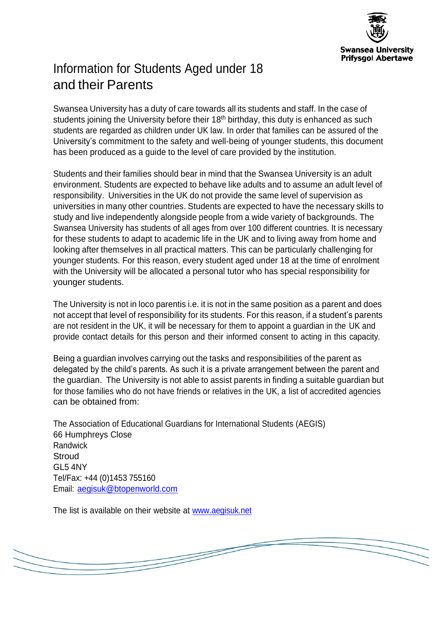

# Information for Students Aged under 18 and their Parents

Swansea University has a duty of care towards all its students and staff. In the case of students joining the University before their 18<sup>th</sup> birthday, this duty is enhanced as such students are regarded as children under UK law. In order that families can be assured of the University's commitment to the safety and well-being of younger students, this document has been produced as a guide to the level of care provided by the institution.

Students and their families should bear in mind that the Swansea University is an adult environment. Students are expected to behave like adults and to assume an adult level of responsibility. Universities in the UK do not provide the same level of supervision as universities in many other countries. Students are expected to have the necessary skills to study and live independently alongside people from a wide variety of backgrounds. The Swansea University has students of all ages from over 100 different countries. It is necessary for these students to adapt to academic life in the UK and to living away from home and looking after themselves in all practical matters. This can be particularly challenging for younger students. For this reason, every student aged under 18 at the time of enrolment with the University will be allocated a personal tutor who has special responsibility for younger students.

The University is not in loco parentis i.e. it is not in the same position as a parent and does not accept that level of responsibility for its students. For this reason, if a student's parents are not resident in the UK, it will be necessary for them to appoint a guardian in the UK and provide contact details for this person and their informed consent to acting in this capacity.

Being a guardian involves carrying out the tasks and responsibilities of the parent as delegated by the child's parents. As such it is a private arrangement between the parent and the guardian. The University is not able to assist parents in finding a suitable guardian but for those families who do not have friends or relatives in the UK, a list of accredited agencies can be obtained from:

The Association of Educational Guardians for International Students (AEGIS) 66 Humphreys Close **Randwick Stroud** GL5 4NY Tel/Fax: +44 (0)1453 755160 Email: [aegisuk@btopenworld.com](mailto:aegisuk@btopenworld.com)

The list is available on their website at [www.aegisuk.net](http://www.aegisuk.net/)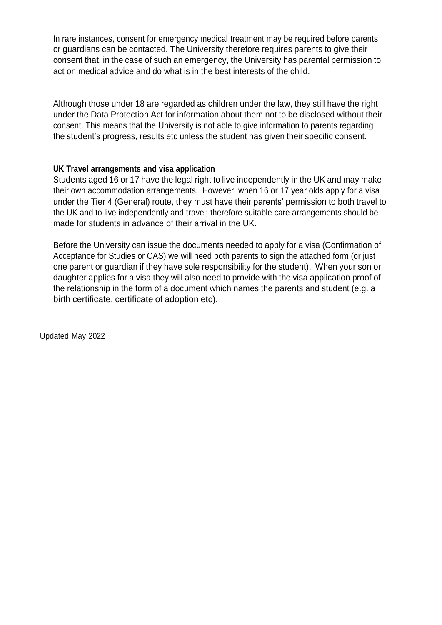In rare instances, consent for emergency medical treatment may be required before parents or guardians can be contacted. The University therefore requires parents to give their consent that, in the case of such an emergency, the University has parental permission to act on medical advice and do what is in the best interests of the child.

Although those under 18 are regarded as children under the law, they still have the right under the Data Protection Act for information about them not to be disclosed without their consent. This means that the University is not able to give information to parents regarding the student's progress, results etc unless the student has given their specific consent.

#### **UK Travel arrangements and visa application**

Students aged 16 or 17 have the legal right to live independently in the UK and may make their own accommodation arrangements. However, when 16 or 17 year olds apply for a visa under the Tier 4 (General) route, they must have their parents' permission to both travel to the UK and to live independently and travel; therefore suitable care arrangements should be made for students in advance of their arrival in the UK.

Before the University can issue the documents needed to apply for a visa (Confirmation of Acceptance for Studies or CAS) we will need both parents to sign the attached form (or just one parent or guardian if they have sole responsibility for the student). When your son or daughter applies for a visa they will also need to provide with the visa application proof of the relationship in the form of a document which names the parents and student (e.g. a birth certificate, certificate of adoption etc).

Updated May 2022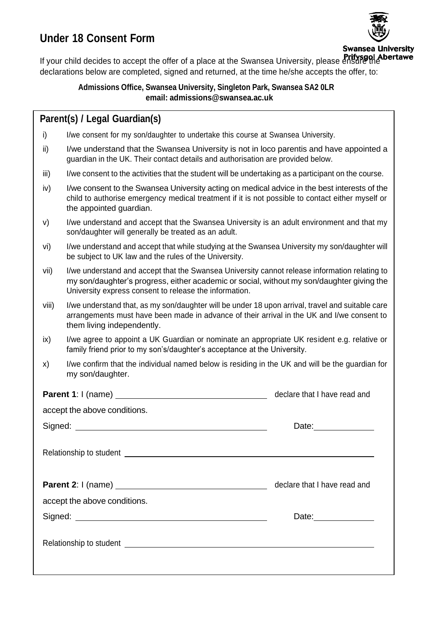## **Under 18 Consent Form**



If your child decides to accept the offer of a place at the Swansea University, please ensure the declarations below are completed, signed and returned, at the time he/she accepts the offer, to:

### **Admissions Office, Swansea University, Singleton Park, Swansea SA2 0LR email: [admissions@swansea.ac.uk](mailto:admissions@swansea.ac.uk)**

### **Parent(s) / Legal Guardian(s)**

- i) I/we consent for my son/daughter to undertake this course at Swansea University.
- ii) I/we understand that the Swansea University is not in loco parentis and have appointed a guardian in the UK. Their contact details and authorisation are provided below.
- iii) I/we consent to the activities that the student will be undertaking as a participant on the course.
- iv) I/we consent to the Swansea University acting on medical advice in the best interests of the child to authorise emergency medical treatment if it is not possible to contact either myself or the appointed guardian.
- v) I/we understand and accept that the Swansea University is an adult environment and that my son/daughter will generally be treated as an adult.
- vi) I/we understand and accept that while studying at the Swansea University my son/daughter will be subject to UK law and the rules of the University.
- vii) I/we understand and accept that the Swansea University cannot release information relating to my son/daughter's progress, either academic or social, without my son/daughter giving the University express consent to release the information.
- viii) I/we understand that, as my son/daughter will be under 18 upon arrival, travel and suitable care arrangements must have been made in advance of their arrival in the UK and I/we consent to them living independently.
- ix) I/we agree to appoint a UK Guardian or nominate an appropriate UK resident e.g. relative or family friend prior to my son's/daughter's acceptance at the University.
- x) I/we confirm that the individual named below is residing in the UK and will be the guardian for my son/daughter.

|                              | declare that I have read and         |
|------------------------------|--------------------------------------|
| accept the above conditions. |                                      |
|                              | Date: ________________               |
|                              |                                      |
|                              | declare that I have read and         |
| accept the above conditions. |                                      |
|                              | Date: <u>_______________________</u> |
|                              |                                      |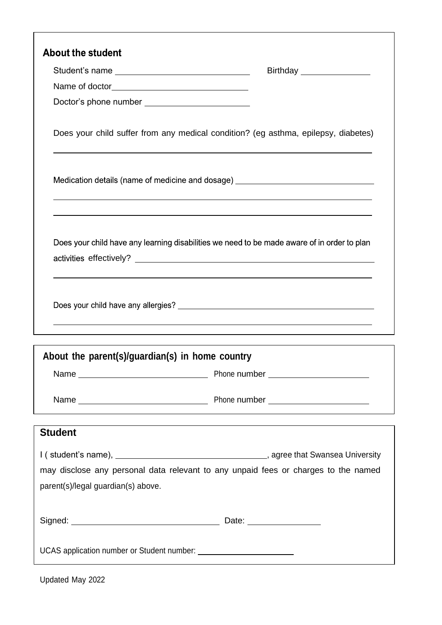| <b>About the student</b>                        |                                                                                             |
|-------------------------------------------------|---------------------------------------------------------------------------------------------|
|                                                 | Birthday ________________                                                                   |
|                                                 |                                                                                             |
| Doctor's phone number _________________________ |                                                                                             |
|                                                 | Does your child suffer from any medical condition? (eg asthma, epilepsy, diabetes)          |
|                                                 | Medication details (name of medicine and dosage) _______________________________            |
|                                                 | Does your child have any learning disabilities we need to be made aware of in order to plan |
|                                                 |                                                                                             |
| About the parent(s)/guardian(s) in home country |                                                                                             |
|                                                 |                                                                                             |
|                                                 |                                                                                             |
| <b>Student</b>                                  | ,我们也不能在这里的时候,我们也不能在这里的时候,我们也不能会在这里的时候,我们也不能会在这里的时候,我们也不能会在这里的时候,我们也不能会在这里的时候,我们也            |
|                                                 |                                                                                             |
|                                                 | may disclose any personal data relevant to any unpaid fees or charges to the named          |
| parent(s)/legal guardian(s) above.              |                                                                                             |
|                                                 |                                                                                             |
|                                                 |                                                                                             |
|                                                 |                                                                                             |